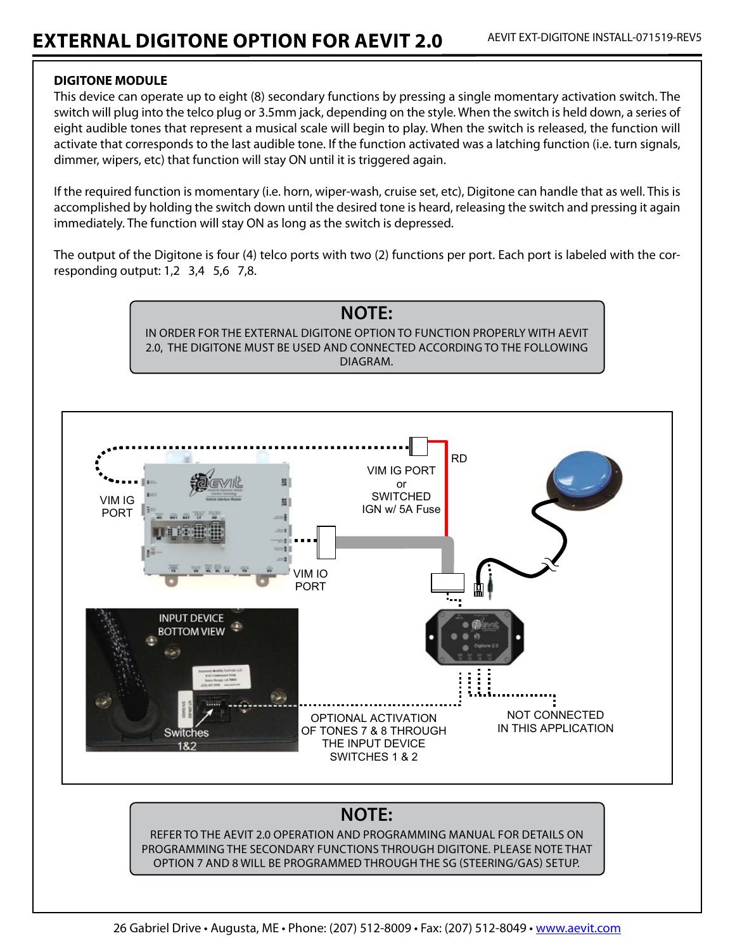## **DIGITONE MODULE**

This device can operate up to eight (8) secondary functions by pressing a single momentary activation switch. The switch will plug into the telco plug or 3.5mm jack, depending on the style. When the switch is held down, a series of eight audible tones that represent a musical scale will begin to play. When the switch is released, the function will activate that corresponds to the last audible tone. If the function activated was a latching function (i.e. turn signals, dimmer, wipers, etc) that function will stay ON until it is triggered again.

If the required function is momentary (i.e. horn, wiper-wash, cruise set, etc), Digitone can handle that as well. This is accomplished by holding the switch down until the desired tone is heard, releasing the switch and pressing it again immediately. The function will stay ON as long as the switch is depressed.

The output of the Digitone is four (4) telco ports with two (2) functions per port. Each port is labeled with the corresponding output: 1,2 3,4 5,6 7,8.



## **NOTE:**

REFER TO THE AFVIT 2.0 OPERATION AND PROGRAMMING MANUAL FOR DETAILS ON PROGRAMMING THE SECONDARY FUNCTIONS THROUGH DIGITONE. PLEASE NOTE THAT OPTION 7 AND 8 WILL BE PROGRAMMED THROUGH THE SG (STEERING/GAS) SETUP.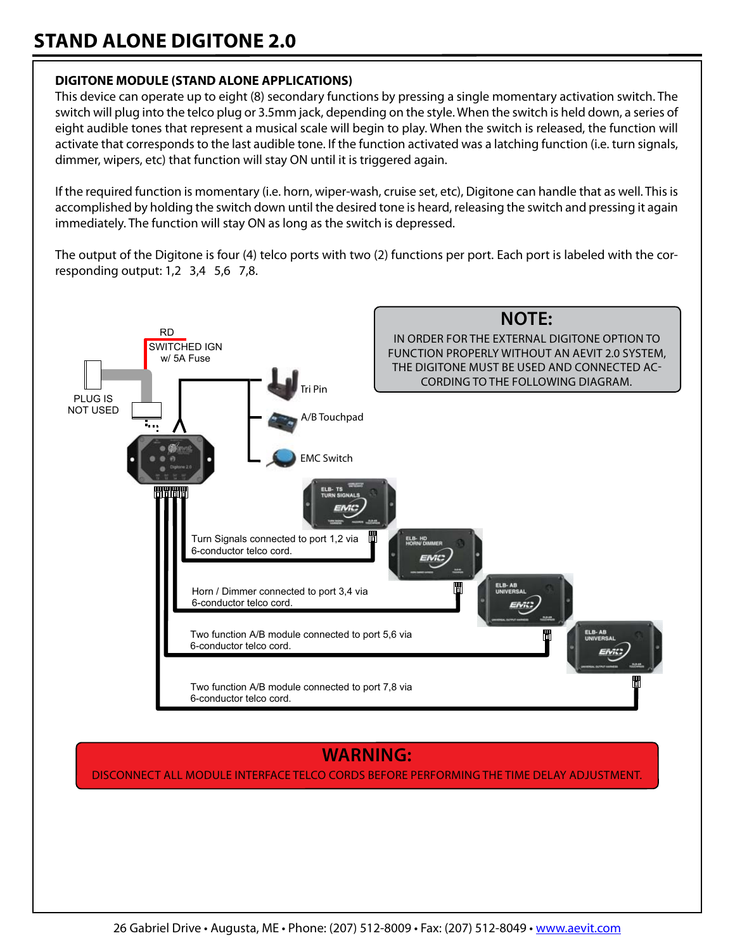# **STAND ALONE DIGITONE 2.0**

## **DIGITONE MODULE (STAND ALONE APPLICATIONS)**

This device can operate up to eight (8) secondary functions by pressing a single momentary activation switch. The switch will plug into the telco plug or 3.5mm jack, depending on the style. When the switch is held down, a series of eight audible tones that represent a musical scale will begin to play. When the switch is released, the function will activate that corresponds to the last audible tone. If the function activated was a latching function (i.e. turn signals, dimmer, wipers, etc) that function will stay ON until it is triggered again.

If the required function is momentary (i.e. horn, wiper-wash, cruise set, etc), Digitone can handle that as well. This is accomplished by holding the switch down until the desired tone is heard, releasing the switch and pressing it again immediately. The function will stay ON as long as the switch is depressed.

The output of the Digitone is four (4) telco ports with two (2) functions per port. Each port is labeled with the corresponding output:  $1,2$  3,4 5,6 7,8.



## **WARNING:**

DISCONNECT ALL MODULE INTERFACE TELCO CORDS BEFORE PERFORMING THE TIME DELAY ADJUSTMENT.